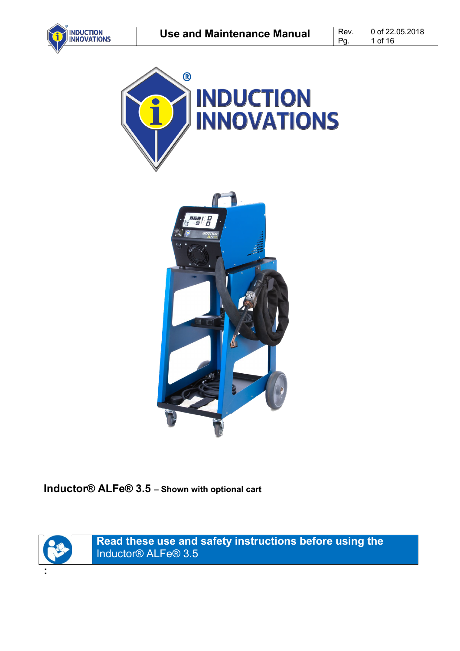







**Inductor® ALFe® 3.5 – Shown with optional cart**



**:**

**Read these use and safety instructions before using the** Inductor® ALFe® 3.5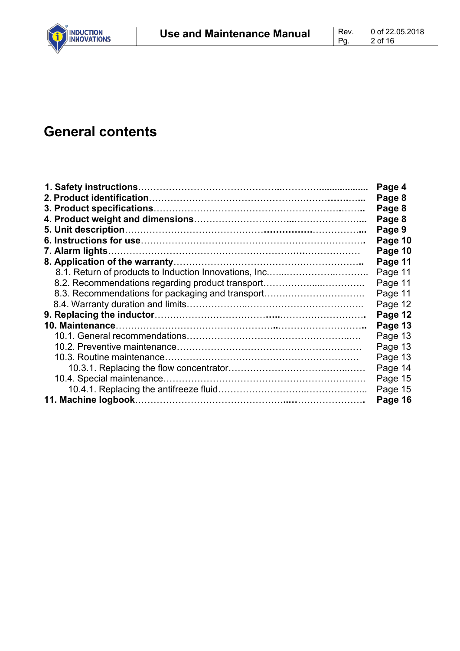# **General contents**

|                                                  | Page 4  |
|--------------------------------------------------|---------|
|                                                  | Page 8  |
|                                                  | Page 8  |
|                                                  | Page 8  |
|                                                  | Page 9  |
|                                                  | Page 10 |
|                                                  | Page 10 |
|                                                  | Page 11 |
|                                                  | Page 11 |
| 8.2. Recommendations regarding product transport | Page 11 |
| 8.3. Recommendations for packaging and transport | Page 11 |
|                                                  | Page 12 |
|                                                  | Page 12 |
|                                                  | Page 13 |
|                                                  | Page 13 |
|                                                  | Page 13 |
|                                                  | Page 13 |
|                                                  | Page 14 |
|                                                  | Page 15 |
|                                                  | Page 15 |
|                                                  | Page 16 |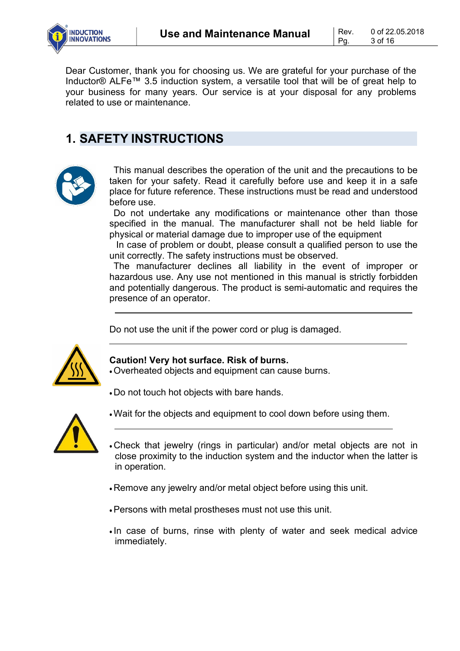Pg.

Dear Customer, thank you for choosing us. We are grateful for your purchase of the Inductor® ALFe™ 3.5 induction system, a versatile tool that will be of great help to your business for many years. Our service is at your disposal for any problems related to use or maintenance.

## **1. SAFETY INSTRUCTIONS**



This manual describes the operation of the unit and the precautions to be taken for your safety. Read it carefully before use and keep it in a safe place for future reference. These instructions must be read and understood before use.

Do not undertake any modifications or maintenance other than those specified in the manual. The manufacturer shall not be held liable for physical or material damage due to improper use of the equipment

In case of problem or doubt, please consult a qualified person to use the unit correctly. The safety instructions must be observed.

The manufacturer declines all liability in the event of improper or hazardous use. Any use not mentioned in this manual is strictly forbidden and potentially dangerous. The product is semi-automatic and requires the presence of an operator.

Do not use the unit if the power cord or plug is damaged.



#### **Caution! Very hot surface. Risk of burns.**

- Overheated objects and equipment can cause burns.
- Do not touch hot objects with bare hands.



- •Wait for the objects and equipment to cool down before using them.
- Check that jewelry (rings in particular) and/or metal objects are not in close proximity to the induction system and the inductor when the latter is in operation.
- Remove any jewelry and/or metal object before using this unit.
- •Persons with metal prostheses must not use this unit.
- In case of burns, rinse with plenty of water and seek medical advice immediately.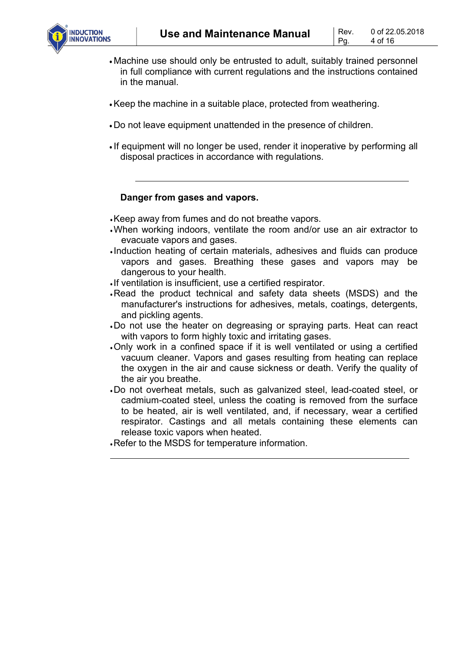

- Machine use should only be entrusted to adult, suitably trained personnel in full compliance with current regulations and the instructions contained in the manual.
- •Keep the machine in a suitable place, protected from weathering.
- Do not leave equipment unattended in the presence of children.
- If equipment will no longer be used, render it inoperative by performing all disposal practices in accordance with regulations.

#### **Danger from gases and vapors.**

•Keep away from fumes and do not breathe vapors.

- •When working indoors, ventilate the room and/or use an air extractor to evacuate vapors and gases.
- Induction heating of certain materials, adhesives and fluids can produce vapors and gases. Breathing these gases and vapors may be dangerous to your health.
- If ventilation is insufficient, use a certified respirator.
- •Read the product technical and safety data sheets (MSDS) and the manufacturer's instructions for adhesives, metals, coatings, detergents, and pickling agents.
- •Do not use the heater on degreasing or spraying parts. Heat can react with vapors to form highly toxic and irritating gases.
- •Only work in a confined space if it is well ventilated or using a certified vacuum cleaner. Vapors and gases resulting from heating can replace the oxygen in the air and cause sickness or death. Verify the quality of the air you breathe.
- •Do not overheat metals, such as galvanized steel, lead-coated steel, or cadmium-coated steel, unless the coating is removed from the surface to be heated, air is well ventilated, and, if necessary, wear a certified respirator. Castings and all metals containing these elements can release toxic vapors when heated.
- •Refer to the MSDS for temperature information.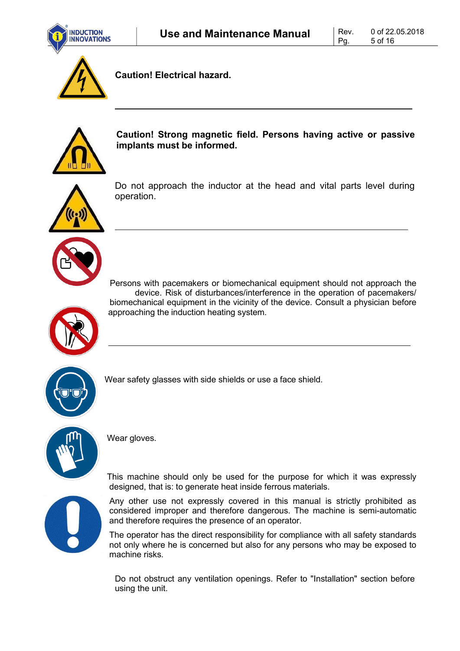



**Caution! Electrical hazard.**



**Caution! Strong magnetic field. Persons having active or passive implants must be informed.**



Do not approach the inductor at the head and vital parts level during operation.





Wear safety glasses with side shields or use a face shield.



Wear gloves.

This machine should only be used for the purpose for which it was expressly designed, that is: to generate heat inside ferrous materials.

Any other use not expressly covered in this manual is strictly prohibited as considered improper and therefore dangerous. The machine is semi-automatic and therefore requires the presence of an operator.

The operator has the direct responsibility for compliance with all safety standards not only where he is concerned but also for any persons who may be exposed to machine risks.

Do not obstruct any ventilation openings. Refer to "Installation" section before using the unit.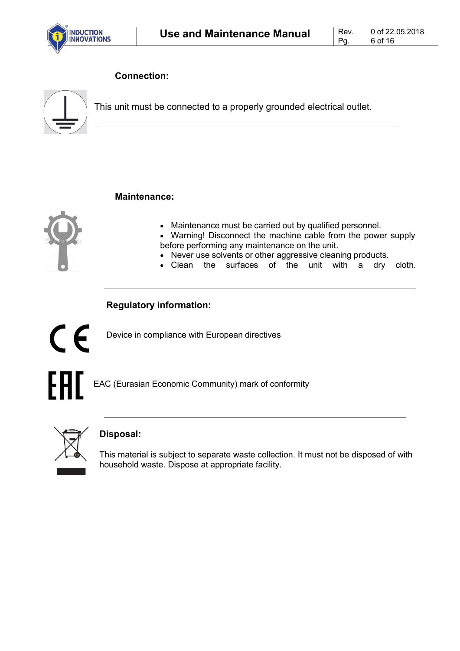

### **Connection:**



This unit must be connected to a properly grounded electrical outlet.

#### **Maintenance:**



- Maintenance must be carried out by qualified personnel.
- Warning! Disconnect the machine cable from the power supply before performing any maintenance on the unit.
- Never use solvents or other aggressive cleaning products.
- Clean the surfaces of the unit with a dry cloth.

### **Regulatory information:**



Device in compliance with European directives

EAC (Eurasian Economic Community) mark of conformity



### **Disposal:**

This material is subject to separate waste collection. It must not be disposed of with household waste. Dispose at appropriate facility.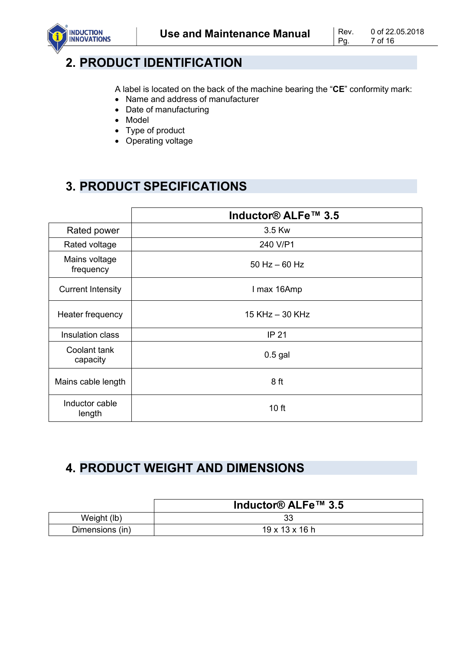

## **2. PRODUCT IDENTIFICATION**

A label is located on the back of the machine bearing the "**CE**" conformity mark:

- Name and address of manufacturer
- Date of manufacturing
- Model
- Type of product
- Operating voltage

# **3. PRODUCT SPECIFICATIONS**

|                            | Inductor® ALFe™ 3.5 |  |
|----------------------------|---------------------|--|
| Rated power                | 3.5 Kw              |  |
| Rated voltage              | 240 V/P1            |  |
| Mains voltage<br>frequency | $50$ Hz $-60$ Hz    |  |
| <b>Current Intensity</b>   | I max 16Amp         |  |
| Heater frequency           | 15 KHz - 30 KHz     |  |
| Insulation class           | <b>IP 21</b>        |  |
| Coolant tank<br>capacity   | $0.5$ gal           |  |
| Mains cable length         | 8 ft                |  |
| Inductor cable<br>length   | 10 ft               |  |

# **4. PRODUCT WEIGHT AND DIMENSIONS**

|                 | Inductor® ALFe™ 3.5        |
|-----------------|----------------------------|
| Weight (lb)     |                            |
| Dimensions (in) | $19 \times 13 \times 16$ h |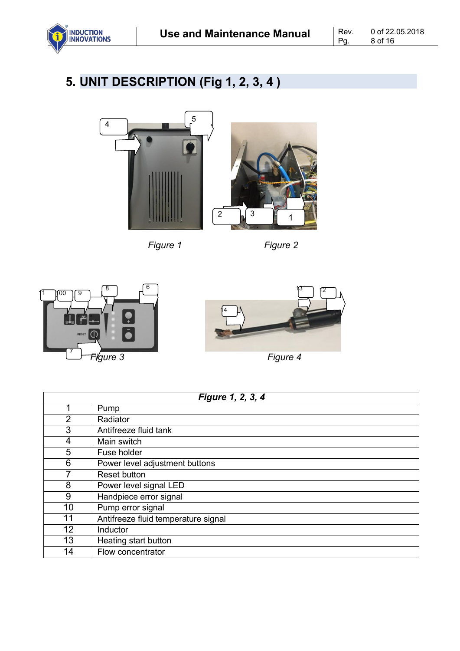

# **5. UNIT DESCRIPTION (Fig 1, 2, 3, 4 )**





*Figure 1 Figure 2*





*Figure 4*

| Figure 1, 2, 3, 4 |                                     |  |  |  |
|-------------------|-------------------------------------|--|--|--|
|                   | Pump                                |  |  |  |
| $\overline{2}$    | Radiator                            |  |  |  |
| 3                 | Antifreeze fluid tank               |  |  |  |
| 4                 | Main switch                         |  |  |  |
| 5                 | Fuse holder                         |  |  |  |
| 6                 | Power level adjustment buttons      |  |  |  |
|                   | <b>Reset button</b>                 |  |  |  |
| 8                 | Power level signal LED              |  |  |  |
| 9                 | Handpiece error signal              |  |  |  |
| 10                | Pump error signal                   |  |  |  |
| 11                | Antifreeze fluid temperature signal |  |  |  |
| 12                | Inductor                            |  |  |  |
| 13                | Heating start button                |  |  |  |
| 14                | Flow concentrator                   |  |  |  |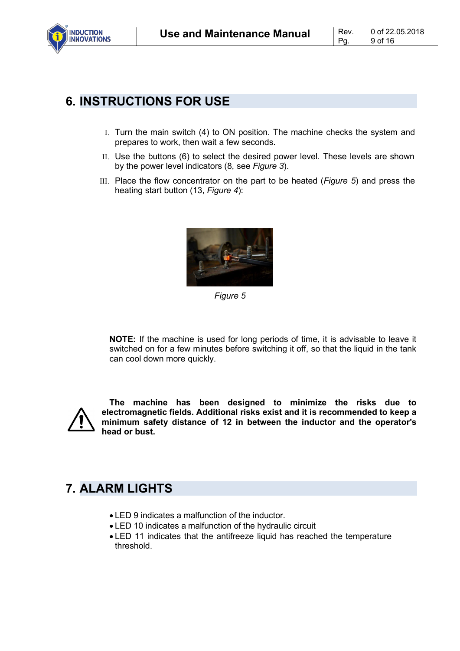

### **6. INSTRUCTIONS FOR USE**

- I. Turn the main switch (4) to ON position. The machine checks the system and prepares to work, then wait a few seconds.
- II. Use the buttons (6) to select the desired power level. These levels are shown by the power level indicators (8, see *Figure 3*).
- III. Place the flow concentrator on the part to be heated (*Figure 5*) and press the heating start button (13, *Figure 4*):



*Figure 5*

**NOTE:** If the machine is used for long periods of time, it is advisable to leave it switched on for a few minutes before switching it off, so that the liquid in the tank can cool down more quickly.



**The machine has been designed to minimize the risks due to electromagnetic fields. Additional risks exist and it is recommended to keep a minimum safety distance of 12 in between the inductor and the operator's head or bust.**

## **7. ALARM LIGHTS**

- LED 9 indicates a malfunction of the inductor.
- LED 10 indicates a malfunction of the hydraulic circuit
- LED 11 indicates that the antifreeze liquid has reached the temperature threshold.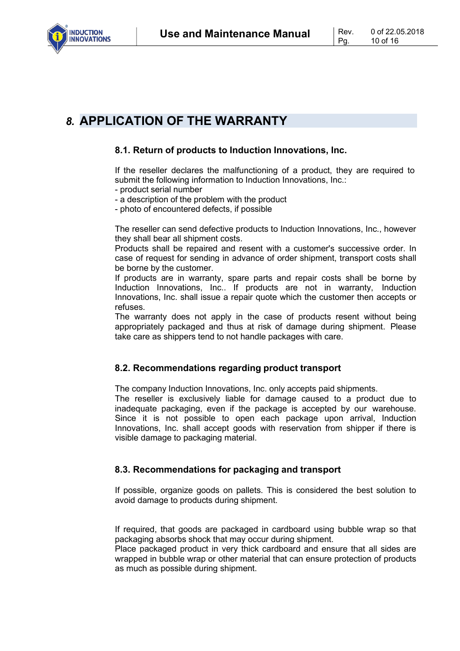

### *8.* **APPLICATION OF THE WARRANTY**

#### **8.1. Return of products to Induction Innovations, Inc.**

If the reseller declares the malfunctioning of a product, they are required to submit the following information to Induction Innovations, Inc.:

- product serial number
- a description of the problem with the product
- photo of encountered defects, if possible

The reseller can send defective products to Induction Innovations, Inc., however they shall bear all shipment costs.

Products shall be repaired and resent with a customer's successive order. In case of request for sending in advance of order shipment, transport costs shall be borne by the customer.

If products are in warranty, spare parts and repair costs shall be borne by Induction Innovations, Inc.. If products are not in warranty, Induction Innovations, Inc. shall issue a repair quote which the customer then accepts or refuses.

The warranty does not apply in the case of products resent without being appropriately packaged and thus at risk of damage during shipment. Please take care as shippers tend to not handle packages with care.

#### **8.2. Recommendations regarding product transport**

The company Induction Innovations, Inc. only accepts paid shipments.

The reseller is exclusively liable for damage caused to a product due to inadequate packaging, even if the package is accepted by our warehouse. Since it is not possible to open each package upon arrival, Induction Innovations, Inc. shall accept goods with reservation from shipper if there is visible damage to packaging material.

#### **8.3. Recommendations for packaging and transport**

If possible, organize goods on pallets. This is considered the best solution to avoid damage to products during shipment.

If required, that goods are packaged in cardboard using bubble wrap so that packaging absorbs shock that may occur during shipment.

Place packaged product in very thick cardboard and ensure that all sides are wrapped in bubble wrap or other material that can ensure protection of products as much as possible during shipment.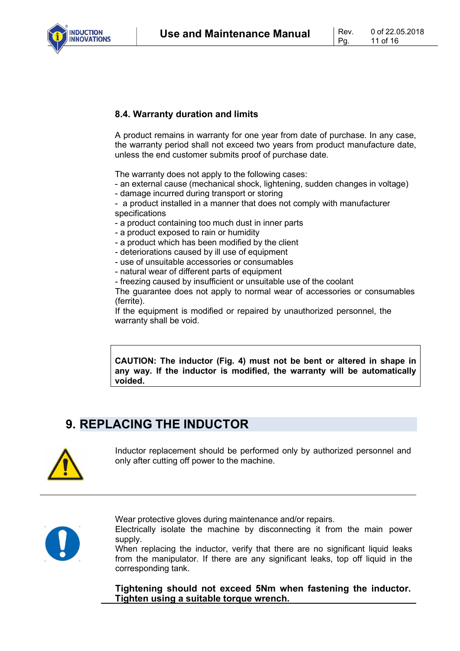**Use and Maintenance Manual** Rev.



#### **8.4. Warranty duration and limits**

A product remains in warranty for one year from date of purchase. In any case, the warranty period shall not exceed two years from product manufacture date, unless the end customer submits proof of purchase date.

The warranty does not apply to the following cases:

- an external cause (mechanical shock, lightening, sudden changes in voltage)
- damage incurred during transport or storing
- a product installed in a manner that does not comply with manufacturer specifications
- a product containing too much dust in inner parts
- a product exposed to rain or humidity
- a product which has been modified by the client
- deteriorations caused by ill use of equipment
- use of unsuitable accessories or consumables
- natural wear of different parts of equipment
- freezing caused by insufficient or unsuitable use of the coolant

The guarantee does not apply to normal wear of accessories or consumables (ferrite).

If the equipment is modified or repaired by unauthorized personnel, the warranty shall be void.

**CAUTION: The inductor (Fig. 4) must not be bent or altered in shape in any way. If the inductor is modified, the warranty will be automatically voided.**

## **9. REPLACING THE INDUCTOR**



Inductor replacement should be performed only by authorized personnel and only after cutting off power to the machine.



Wear protective gloves during maintenance and/or repairs.

Electrically isolate the machine by disconnecting it from the main power supply.

When replacing the inductor, verify that there are no significant liquid leaks from the manipulator. If there are any significant leaks, top off liquid in the corresponding tank.

**Tightening should not exceed 5Nm when fastening the inductor. Tighten using a suitable torque wrench.**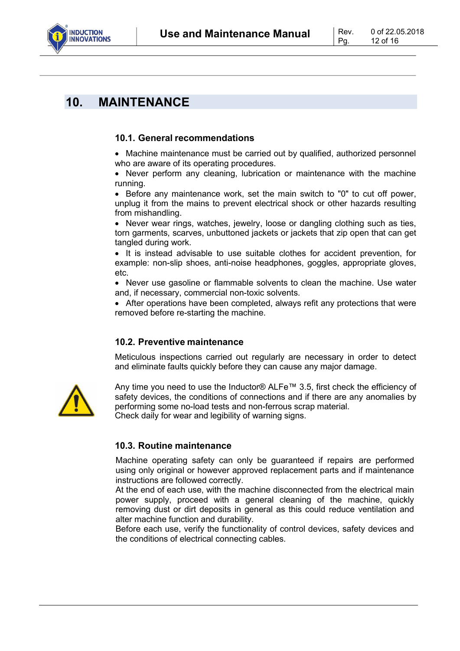

### **10. MAINTENANCE**

#### **10.1. General recommendations**

• Machine maintenance must be carried out by qualified, authorized personnel who are aware of its operating procedures.

• Never perform any cleaning, lubrication or maintenance with the machine running.

• Before any maintenance work, set the main switch to "0" to cut off power, unplug it from the mains to prevent electrical shock or other hazards resulting from mishandling.

• Never wear rings, watches, jewelry, loose or dangling clothing such as ties, torn garments, scarves, unbuttoned jackets or jackets that zip open that can get tangled during work.

• It is instead advisable to use suitable clothes for accident prevention, for example: non-slip shoes, anti-noise headphones, goggles, appropriate gloves, etc.

• Never use gasoline or flammable solvents to clean the machine. Use water and, if necessary, commercial non-toxic solvents.

• After operations have been completed, always refit any protections that were removed before re-starting the machine.

#### **10.2. Preventive maintenance**

Meticulous inspections carried out regularly are necessary in order to detect and eliminate faults quickly before they can cause any major damage.



Any time you need to use the Inductor® ALFe™ 3.5, first check the efficiency of safety devices, the conditions of connections and if there are any anomalies by performing some no-load tests and non-ferrous scrap material. Check daily for wear and legibility of warning signs.

#### **10.3. Routine maintenance**

Machine operating safety can only be guaranteed if repairs are performed using only original or however approved replacement parts and if maintenance instructions are followed correctly.

At the end of each use, with the machine disconnected from the electrical main power supply, proceed with a general cleaning of the machine, quickly removing dust or dirt deposits in general as this could reduce ventilation and alter machine function and durability.

Before each use, verify the functionality of control devices, safety devices and the conditions of electrical connecting cables.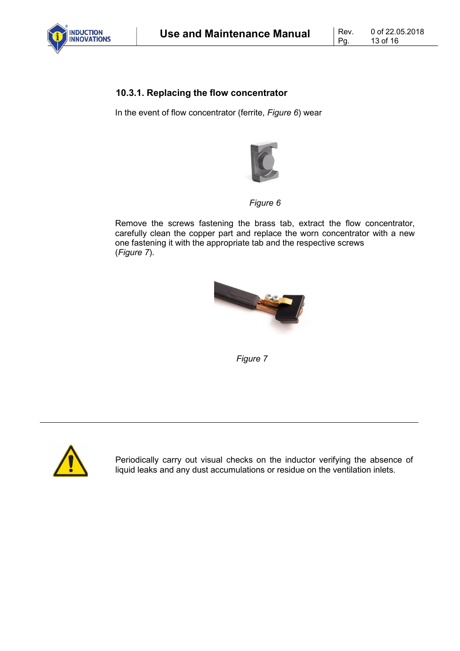

#### **10.3.1. Replacing the flow concentrator**

In the event of flow concentrator (ferrite, *Figure 6*) wear



*Figure 6*

Remove the screws fastening the brass tab, extract the flow concentrator, carefully clean the copper part and replace the worn concentrator with a new one fastening it with the appropriate tab and the respective screws (*Figure 7*).



*Figure 7*



Periodically carry out visual checks on the inductor verifying the absence of liquid leaks and any dust accumulations or residue on the ventilation inlets.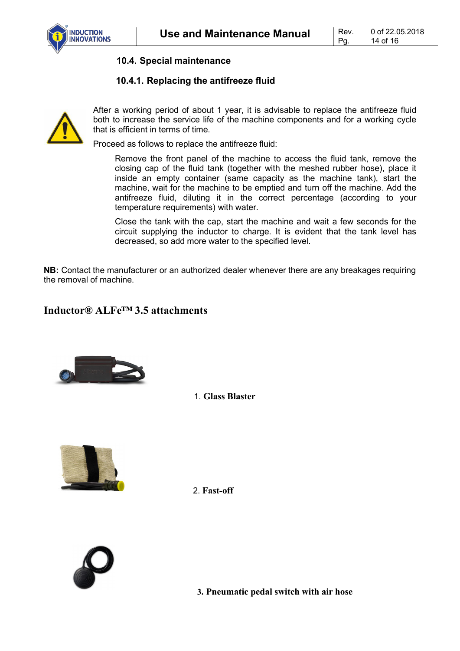

**10.4. Special maintenance**

#### **10.4.1. Replacing the antifreeze fluid**



After a working period of about 1 year, it is advisable to replace the antifreeze fluid both to increase the service life of the machine components and for a working cycle that is efficient in terms of time.

Proceed as follows to replace the antifreeze fluid:

Remove the front panel of the machine to access the fluid tank, remove the closing cap of the fluid tank (together with the meshed rubber hose), place it inside an empty container (same capacity as the machine tank), start the machine, wait for the machine to be emptied and turn off the machine. Add the antifreeze fluid, diluting it in the correct percentage (according to your temperature requirements) with water.

Close the tank with the cap, start the machine and wait a few seconds for the circuit supplying the inductor to charge. It is evident that the tank level has decreased, so add more water to the specified level.

**NB:** Contact the manufacturer or an authorized dealer whenever there are any breakages requiring the removal of machine.

### **Inductor® ALFe™ 3.5 attachments**



1. **Glass Blaster**



2. **Fast-off**



**3. Pneumatic pedal switch with air hose**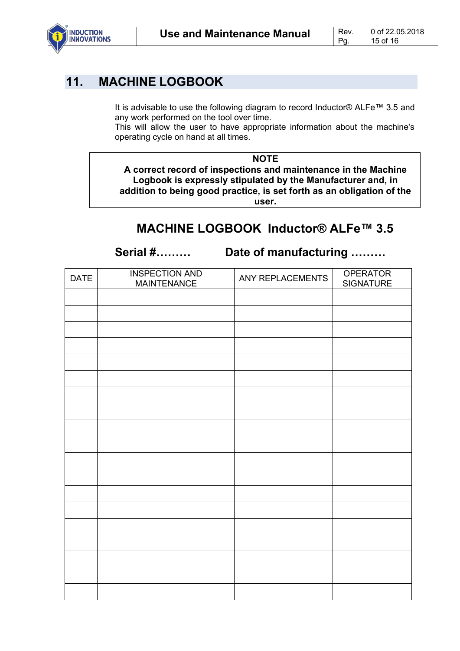

### **11. MACHINE LOGBOOK**

It is advisable to use the following diagram to record Inductor® ALFe™ 3.5 and any work performed on the tool over time.

This will allow the user to have appropriate information about the machine's operating cycle on hand at all times.

**NOTE**

**A correct record of inspections and maintenance in the Machine Logbook is expressly stipulated by the Manufacturer and, in addition to being good practice, is set forth as an obligation of the user.**

### **MACHINE LOGBOOK Inductor® ALFe™ 3.5**

**Serial #……… Date of manufacturing ………**

| <b>DATE</b> | <b>INSPECTION AND</b><br><b>MAINTENANCE</b> | ANY REPLACEMENTS | <b>OPERATOR</b><br><b>SIGNATURE</b> |
|-------------|---------------------------------------------|------------------|-------------------------------------|
|             |                                             |                  |                                     |
|             |                                             |                  |                                     |
|             |                                             |                  |                                     |
|             |                                             |                  |                                     |
|             |                                             |                  |                                     |
|             |                                             |                  |                                     |
|             |                                             |                  |                                     |
|             |                                             |                  |                                     |
|             |                                             |                  |                                     |
|             |                                             |                  |                                     |
|             |                                             |                  |                                     |
|             |                                             |                  |                                     |
|             |                                             |                  |                                     |
|             |                                             |                  |                                     |
|             |                                             |                  |                                     |
|             |                                             |                  |                                     |
|             |                                             |                  |                                     |
|             |                                             |                  |                                     |
|             |                                             |                  |                                     |